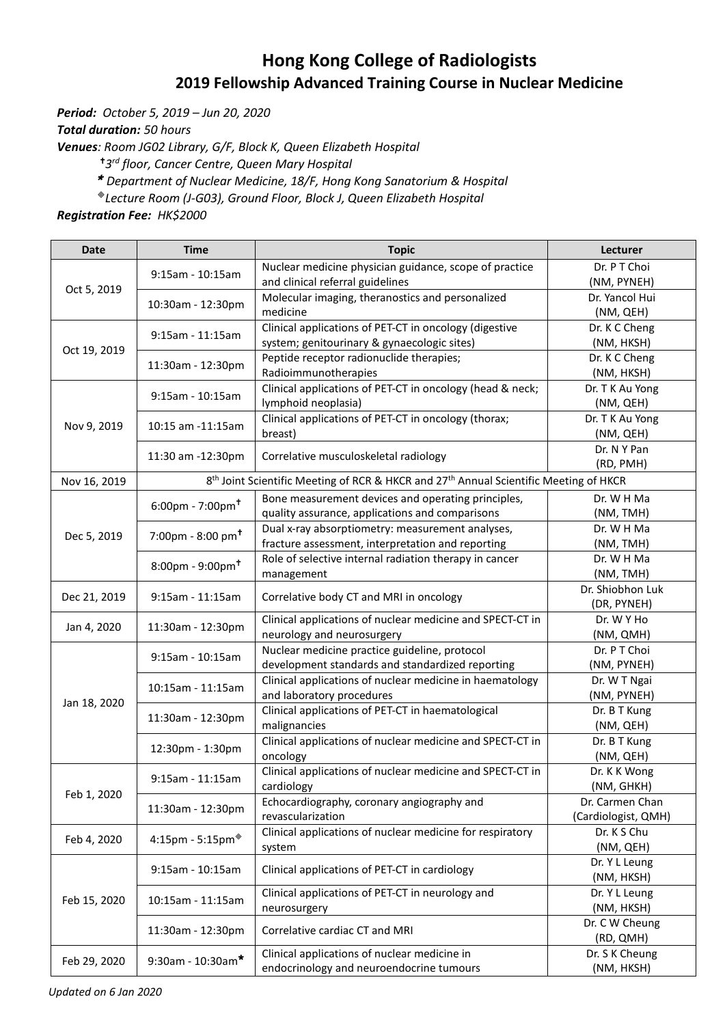## **Hong Kong College of Radiologists 2019 Fellowship Advanced Training Course in Nuclear Medicine**

*Period: October 5, 2019 – Jun 20, 2020*

*Total duration: 50 hours*

*Venues: Room JG02 Library, G/F, Block K, Queen Elizabeth Hospital*

*3 rd floor, Cancer Centre, Queen Mary Hospital* 

*Department of Nuclear Medicine, 18/F, [Hong Kong Sanatorium & Hospital](http://www.hksh.com/en/about-us.php)*

*Lecture Room (J-G03), Ground Floor, Block J, Queen Elizabeth Hospital*

*Registration Fee: HK\$2000*

| <b>Date</b>                 | <b>Time</b>                                 | <b>Topic</b>                                                                                                  | Lecturer            |
|-----------------------------|---------------------------------------------|---------------------------------------------------------------------------------------------------------------|---------------------|
| Oct 5, 2019<br>Oct 19, 2019 |                                             | Nuclear medicine physician guidance, scope of practice                                                        | Dr. P T Choi        |
|                             | 9:15am - 10:15am                            | and clinical referral guidelines                                                                              | (NM, PYNEH)         |
|                             | 10:30am - 12:30pm                           | Molecular imaging, theranostics and personalized                                                              | Dr. Yancol Hui      |
|                             |                                             | medicine                                                                                                      | (NM, QEH)           |
|                             | $9:15am - 11:15am$                          | Clinical applications of PET-CT in oncology (digestive                                                        | Dr. K C Cheng       |
|                             |                                             | system; genitourinary & gynaecologic sites)                                                                   | (NM, HKSH)          |
|                             | 11:30am - 12:30pm                           | Peptide receptor radionuclide therapies;                                                                      | Dr. K C Cheng       |
|                             |                                             | Radioimmunotherapies                                                                                          | (NM, HKSH)          |
| Nov 9, 2019                 | 9:15am - 10:15am                            | Clinical applications of PET-CT in oncology (head & neck;                                                     | Dr. T K Au Yong     |
|                             |                                             | lymphoid neoplasia)                                                                                           | (NM, QEH)           |
|                             | 10:15 am -11:15 am                          | Clinical applications of PET-CT in oncology (thorax;                                                          | Dr. T K Au Yong     |
|                             |                                             | breast)                                                                                                       | (NM, QEH)           |
|                             | 11:30 am -12:30pm                           | Correlative musculoskeletal radiology                                                                         | Dr. N Y Pan         |
|                             |                                             |                                                                                                               | (RD, PMH)           |
| Nov 16, 2019                |                                             | 8 <sup>th</sup> Joint Scientific Meeting of RCR & HKCR and 27 <sup>th</sup> Annual Scientific Meeting of HKCR |                     |
|                             | $6:00$ pm - 7:00pm <sup>+</sup>             | Bone measurement devices and operating principles,                                                            | Dr. W H Ma          |
|                             |                                             | quality assurance, applications and comparisons                                                               | (NM, TMH)           |
|                             | 7:00pm - 8:00 pm <sup>+</sup>               | Dual x-ray absorptiometry: measurement analyses,                                                              | Dr. W H Ma          |
| Dec 5, 2019                 |                                             | fracture assessment, interpretation and reporting                                                             | (NM, TMH)           |
|                             | $8:00 \text{pm} - 9:00 \text{pm}^{\dagger}$ | Role of selective internal radiation therapy in cancer                                                        | Dr. W H Ma          |
|                             |                                             | management                                                                                                    | (NM, TMH)           |
| Dec 21, 2019                | $9:15am - 11:15am$                          | Correlative body CT and MRI in oncology                                                                       | Dr. Shiobhon Luk    |
|                             |                                             |                                                                                                               | (DR, PYNEH)         |
| Jan 4, 2020                 | 11:30am - 12:30pm                           | Clinical applications of nuclear medicine and SPECT-CT in                                                     | Dr. W Y Ho          |
|                             |                                             | neurology and neurosurgery                                                                                    | (NM, QMH)           |
|                             | 9:15am - 10:15am                            | Nuclear medicine practice guideline, protocol                                                                 | Dr. P T Choi        |
|                             |                                             | development standards and standardized reporting                                                              | (NM, PYNEH)         |
|                             | 10:15am - 11:15am                           | Clinical applications of nuclear medicine in haematology                                                      | Dr. W T Ngai        |
| Jan 18, 2020                |                                             | and laboratory procedures                                                                                     | (NM, PYNEH)         |
|                             | 11:30am - 12:30pm                           | Clinical applications of PET-CT in haematological                                                             | Dr. B T Kung        |
|                             |                                             | malignancies                                                                                                  | (NM, QEH)           |
|                             | 12:30pm - 1:30pm                            | Clinical applications of nuclear medicine and SPECT-CT in                                                     | Dr. B T Kung        |
|                             |                                             | oncology                                                                                                      | (NM, QEH)           |
|                             | $9:15$ am - 11:15am                         | Clinical applications of nuclear medicine and SPECT-CT in                                                     | Dr. K K Wong        |
| Feb 1, 2020                 |                                             | cardiology                                                                                                    | (NM, GHKH)          |
|                             | 11:30am - 12:30pm                           | Echocardiography, coronary angiography and                                                                    | Dr. Carmen Chan     |
|                             |                                             | revascularization                                                                                             | (Cardiologist, QMH) |
| Feb 4, 2020                 | 4:15pm - 5:15pm $*$                         | Clinical applications of nuclear medicine for respiratory                                                     | Dr. K S Chu         |
|                             |                                             | system                                                                                                        | (NM, QEH)           |
| Feb 15, 2020                | 9:15am - 10:15am                            | Clinical applications of PET-CT in cardiology                                                                 | Dr. Y L Leung       |
|                             |                                             |                                                                                                               | (NM, HKSH)          |
|                             | 10:15am - 11:15am<br>11:30am - 12:30pm      | Clinical applications of PET-CT in neurology and                                                              | Dr. Y L Leung       |
|                             |                                             | neurosurgery                                                                                                  | (NM, HKSH)          |
|                             |                                             | Correlative cardiac CT and MRI                                                                                | Dr. C W Cheung      |
|                             |                                             |                                                                                                               | (RD, QMH)           |
| Feb 29, 2020                | 9:30am - 10:30am*                           | Clinical applications of nuclear medicine in                                                                  | Dr. S K Cheung      |
|                             |                                             | endocrinology and neuroendocrine tumours                                                                      | (NM, HKSH)          |